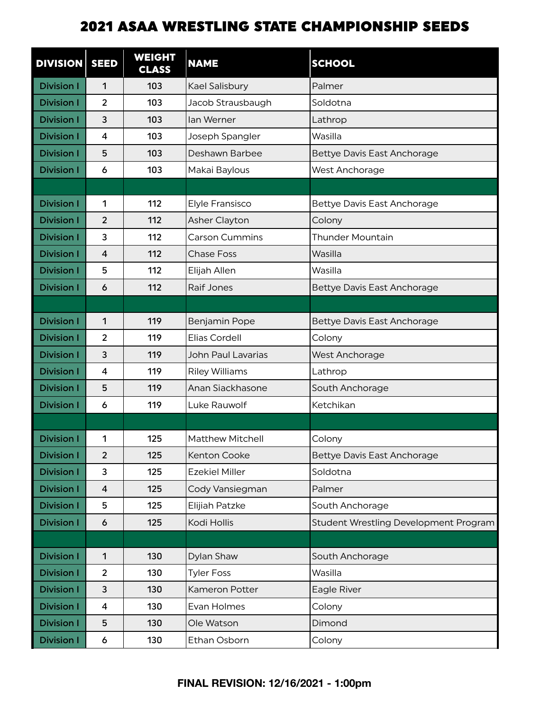| <b>DIVISION</b> SEED |                | <b>WEIGHT</b><br><b>CLASS</b> | <b>NAME</b>               | <b>SCHOOL</b>                         |
|----------------------|----------------|-------------------------------|---------------------------|---------------------------------------|
| <b>Division I</b>    | 1              | 103                           | Kael Salisbury            | Palmer                                |
| <b>Division I</b>    | $\overline{2}$ | 103                           | Jacob Strausbaugh         | Soldotna                              |
| <b>Division I</b>    | $\overline{3}$ | 103                           | lan Werner                | Lathrop                               |
| <b>Division I</b>    | $\overline{4}$ | 103                           | Joseph Spangler           | Wasilla                               |
| <b>Division I</b>    | 5              | 103                           | Deshawn Barbee            | <b>Bettye Davis East Anchorage</b>    |
| <b>Division I</b>    | 6              | 103                           | Makai Baylous             | West Anchorage                        |
|                      |                |                               |                           |                                       |
| <b>Division I</b>    | 1              | 112                           | <b>Elyle Fransisco</b>    | <b>Bettye Davis East Anchorage</b>    |
| <b>Division I</b>    | $\overline{2}$ | 112                           | Asher Clayton             | Colony                                |
| <b>Division I</b>    | 3              | 112                           | <b>Carson Cummins</b>     | <b>Thunder Mountain</b>               |
| <b>Division I</b>    | $\overline{4}$ | 112                           | <b>Chase Foss</b>         | Wasilla                               |
| <b>Division I</b>    | 5              | 112                           | Elijah Allen              | Wasilla                               |
| <b>Division I</b>    | 6              | 112                           | <b>Raif Jones</b>         | <b>Bettye Davis East Anchorage</b>    |
|                      |                |                               |                           |                                       |
| <b>Division I</b>    | $\mathbf 1$    | 119                           | Benjamin Pope             | <b>Bettye Davis East Anchorage</b>    |
| <b>Division I</b>    | $\overline{2}$ | 119                           | <b>Elias Cordell</b>      | Colony                                |
| <b>Division I</b>    | $\overline{3}$ | 119                           | <b>John Paul Lavarias</b> | <b>West Anchorage</b>                 |
| <b>Division I</b>    | 4              | 119                           | <b>Riley Williams</b>     | Lathrop                               |
| <b>Division I</b>    | 5              | 119                           | Anan Siackhasone          | South Anchorage                       |
| <b>Division I</b>    | 6              | 119                           | Luke Rauwolf              | Ketchikan                             |
|                      |                |                               |                           |                                       |
| <b>Division I</b>    | 1              | 125                           | <b>Matthew Mitchell</b>   | Colony                                |
| <b>Division I</b>    | $\overline{2}$ | 125                           | Kenton Cooke              | <b>Bettye Davis East Anchorage</b>    |
| <b>Division I</b>    | 3              | 125                           | <b>Ezekiel Miller</b>     | Soldotna                              |
| <b>Division I</b>    | $\overline{4}$ | 125                           | Cody Vansiegman           | Palmer                                |
| <b>Division I</b>    | 5              | 125                           | Elijiah Patzke            | South Anchorage                       |
| <b>Division I</b>    | 6              | 125                           | Kodi Hollis               | Student Wrestling Development Program |
|                      |                |                               |                           |                                       |
| <b>Division I</b>    | $\mathbf 1$    | 130                           | Dylan Shaw                | South Anchorage                       |
| <b>Division I</b>    | $\overline{2}$ | 130                           | <b>Tyler Foss</b>         | Wasilla                               |
| <b>Division I</b>    | 3              | 130                           | Kameron Potter            | Eagle River                           |
| <b>Division I</b>    | 4              | 130                           | Evan Holmes               | Colony                                |
| <b>Division I</b>    | 5              | 130                           | Ole Watson                | Dimond                                |
| Division I           | 6              | 130                           | Ethan Osborn              | Colony                                |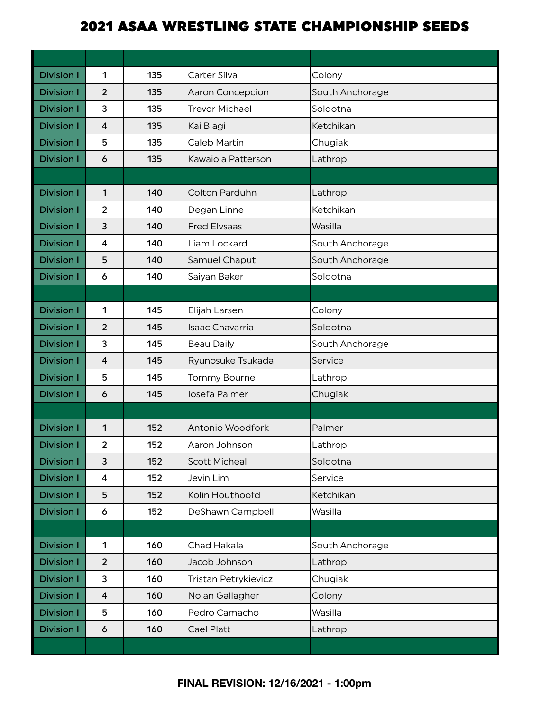| <b>Division I</b> | $\mathbf{1}$            | 135 | Carter Silva            | Colony          |
|-------------------|-------------------------|-----|-------------------------|-----------------|
| <b>Division I</b> | $\overline{2}$          | 135 | <b>Aaron Concepcion</b> | South Anchorage |
| <b>Division I</b> | 3                       | 135 | <b>Trevor Michael</b>   | Soldotna        |
| <b>Division I</b> | $\overline{4}$          | 135 | Kai Biagi               | Ketchikan       |
| <b>Division I</b> | 5                       | 135 | Caleb Martin            | Chugiak         |
| <b>Division I</b> | 6                       | 135 | Kawaiola Patterson      | Lathrop         |
|                   |                         |     |                         |                 |
| <b>Division I</b> | 1                       | 140 | <b>Colton Parduhn</b>   | Lathrop         |
| <b>Division I</b> | $\overline{2}$          | 140 | Degan Linne             | Ketchikan       |
| <b>Division I</b> | 3                       | 140 | <b>Fred Elvsaas</b>     | Wasilla         |
| <b>Division I</b> | $\overline{4}$          | 140 | Liam Lockard            | South Anchorage |
| <b>Division I</b> | 5                       | 140 | Samuel Chaput           | South Anchorage |
| <b>Division I</b> | 6                       | 140 | Saiyan Baker            | Soldotna        |
|                   |                         |     |                         |                 |
| <b>Division I</b> | $\mathbf{1}$            | 145 | Elijah Larsen           | Colony          |
| <b>Division I</b> | $\overline{2}$          | 145 | Isaac Chavarria         | Soldotna        |
| <b>Division I</b> | 3                       | 145 | <b>Beau Daily</b>       | South Anchorage |
| <b>Division I</b> | $\overline{4}$          | 145 | Ryunosuke Tsukada       | Service         |
| <b>Division I</b> | 5                       | 145 | Tommy Bourne            | Lathrop         |
| <b>Division I</b> | 6                       | 145 | losefa Palmer           | Chugiak         |
|                   |                         |     |                         |                 |
| <b>Division I</b> | $\mathbf{1}$            | 152 | Antonio Woodfork        | Palmer          |
| <b>Division I</b> | $\overline{2}$          | 152 | Aaron Johnson           | Lathrop         |
| <b>Division I</b> | 3                       | 152 | <b>Scott Micheal</b>    | Soldotna        |
| <b>Division I</b> | $\overline{\mathbf{4}}$ | 152 | Jevin Lim               | Service         |
| <b>Division I</b> | 5                       | 152 | Kolin Houthoofd         | Ketchikan       |
| <b>Division I</b> | 6                       | 152 | DeShawn Campbell        | Wasilla         |
|                   |                         |     |                         |                 |
| <b>Division I</b> | $\mathbf 1$             | 160 | Chad Hakala             | South Anchorage |
| <b>Division I</b> | $\overline{2}$          | 160 | Jacob Johnson           | Lathrop         |
| <b>Division I</b> | 3                       | 160 | Tristan Petrykievicz    | Chugiak         |
| <b>Division I</b> | $\overline{4}$          | 160 | Nolan Gallagher         | Colony          |
| <b>Division I</b> | 5                       | 160 | Pedro Camacho           | Wasilla         |
| <b>Division I</b> | $\pmb{6}$               | 160 | Cael Platt              | Lathrop         |
|                   |                         |     |                         |                 |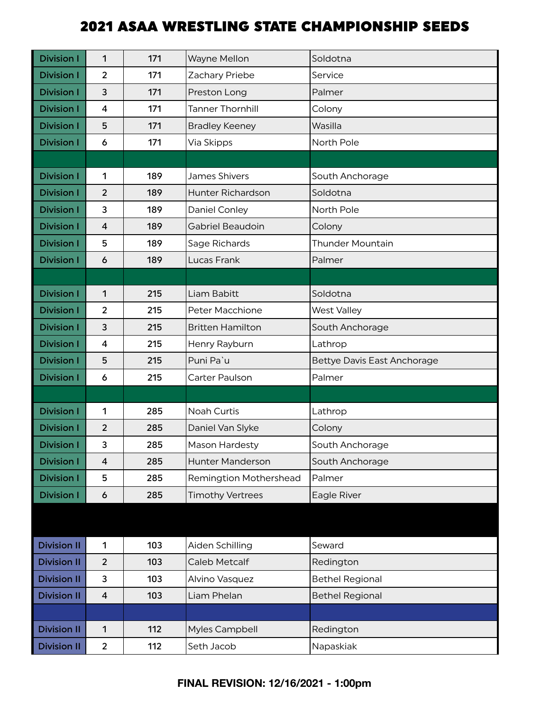| <b>Division I</b>  | 1                       | 171 | Wayne Mellon                  | Soldotna                           |
|--------------------|-------------------------|-----|-------------------------------|------------------------------------|
| <b>Division I</b>  | $\overline{2}$          | 171 | Zachary Priebe                | Service                            |
| <b>Division I</b>  | 3                       | 171 | Preston Long                  | Palmer                             |
| <b>Division I</b>  | 4                       | 171 | <b>Tanner Thornhill</b>       | Colony                             |
| <b>Division I</b>  | 5                       | 171 | <b>Bradley Keeney</b>         | Wasilla                            |
| <b>Division I</b>  | 6                       | 171 | Via Skipps                    | North Pole                         |
|                    |                         |     |                               |                                    |
| <b>Division I</b>  | 1                       | 189 | James Shivers                 | South Anchorage                    |
| <b>Division I</b>  | $\overline{2}$          | 189 | Hunter Richardson             | Soldotna                           |
| <b>Division I</b>  | 3                       | 189 | <b>Daniel Conley</b>          | North Pole                         |
| <b>Division I</b>  | $\overline{4}$          | 189 | <b>Gabriel Beaudoin</b>       | Colony                             |
| <b>Division I</b>  | 5                       | 189 | Sage Richards                 | <b>Thunder Mountain</b>            |
| <b>Division I</b>  | 6                       | 189 | Lucas Frank                   | Palmer                             |
|                    |                         |     |                               |                                    |
| <b>Division I</b>  | 1                       | 215 | Liam Babitt                   | Soldotna                           |
| <b>Division I</b>  | $\overline{2}$          | 215 | <b>Peter Macchione</b>        | <b>West Valley</b>                 |
| <b>Division I</b>  | $\overline{3}$          | 215 | <b>Britten Hamilton</b>       | South Anchorage                    |
| <b>Division I</b>  | 4                       | 215 | Henry Rayburn                 | Lathrop                            |
| <b>Division I</b>  | 5                       | 215 | Puni Pa'u                     | <b>Bettye Davis East Anchorage</b> |
| <b>Division I</b>  | 6                       | 215 | Carter Paulson                | Palmer                             |
|                    |                         |     |                               |                                    |
| <b>Division I</b>  | 1                       | 285 | Noah Curtis                   | Lathrop                            |
| <b>Division I</b>  | $\overline{2}$          | 285 | Daniel Van Slyke              | Colony                             |
| <b>Division I</b>  | 3                       | 285 | Mason Hardesty                | South Anchorage                    |
| <b>Division I</b>  | $\overline{4}$          | 285 | <b>Hunter Manderson</b>       | South Anchorage                    |
| <b>Division I</b>  | 5                       | 285 | <b>Remingtion Mothershead</b> | Palmer                             |
| <b>Division I</b>  | 6                       | 285 | <b>Timothy Vertrees</b>       | <b>Eagle River</b>                 |
|                    |                         |     |                               |                                    |
|                    |                         |     |                               |                                    |
| <b>Division II</b> | 1                       | 103 | Aiden Schilling               | Seward                             |
| <b>Division II</b> | $\overline{2}$          | 103 | <b>Caleb Metcalf</b>          | Redington                          |
| <b>Division II</b> | $\overline{\mathbf{3}}$ | 103 | Alvino Vasquez                | <b>Bethel Regional</b>             |
| <b>Division II</b> | $\overline{4}$          | 103 | Liam Phelan                   | <b>Bethel Regional</b>             |
|                    |                         |     |                               |                                    |
| <b>Division II</b> | 1                       | 112 | Myles Campbell                | Redington                          |
| <b>Division II</b> | $\overline{2}$          | 112 | Seth Jacob                    | Napaskiak                          |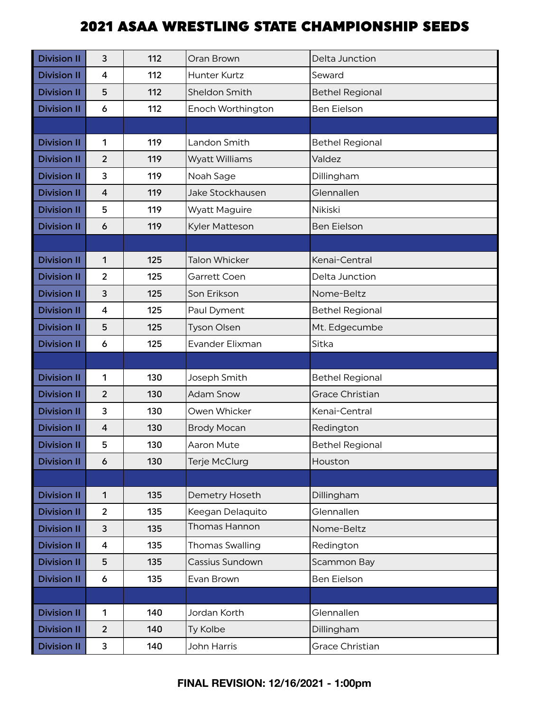| <b>Division II</b> | 3                | 112 | Oran Brown             | Delta Junction         |
|--------------------|------------------|-----|------------------------|------------------------|
| <b>Division II</b> | 4                | 112 | Hunter Kurtz           | Seward                 |
| <b>Division II</b> | 5                | 112 | Sheldon Smith          | <b>Bethel Regional</b> |
| <b>Division II</b> | 6                | 112 | Enoch Worthington      | <b>Ben Eielson</b>     |
|                    |                  |     |                        |                        |
| <b>Division II</b> | $\mathbf 1$      | 119 | Landon Smith           | <b>Bethel Regional</b> |
| <b>Division II</b> | $\overline{2}$   | 119 | Wyatt Williams         | Valdez                 |
| <b>Division II</b> | 3                | 119 | Noah Sage              | Dillingham             |
| <b>Division II</b> | $\overline{4}$   | 119 | Jake Stockhausen       | Glennallen             |
| <b>Division II</b> | 5                | 119 | <b>Wyatt Maguire</b>   | Nikiski                |
| <b>Division II</b> | 6                | 119 | Kyler Matteson         | <b>Ben Eielson</b>     |
|                    |                  |     |                        |                        |
| <b>Division II</b> | 1                | 125 | <b>Talon Whicker</b>   | Kenai-Central          |
| <b>Division II</b> | $\overline{2}$   | 125 | Garrett Coen           | Delta Junction         |
| <b>Division II</b> | 3                | 125 | Son Erikson            | Nome-Beltz             |
| <b>Division II</b> | 4                | 125 | Paul Dyment            | <b>Bethel Regional</b> |
| <b>Division II</b> | 5                | 125 | <b>Tyson Olsen</b>     | Mt. Edgecumbe          |
| <b>Division II</b> | 6                | 125 | Evander Elixman        | Sitka                  |
|                    |                  |     |                        |                        |
|                    |                  |     |                        |                        |
| <b>Division II</b> | $\mathbf 1$      | 130 | Joseph Smith           | <b>Bethel Regional</b> |
| <b>Division II</b> | $\overline{2}$   | 130 | <b>Adam Snow</b>       | <b>Grace Christian</b> |
| <b>Division II</b> | 3                | 130 | Owen Whicker           | Kenai-Central          |
| <b>Division II</b> | $\overline{4}$   | 130 | <b>Brody Mocan</b>     | Redington              |
| <b>Division II</b> | 5                | 130 | Aaron Mute             | <b>Bethel Regional</b> |
| <b>Division II</b> | $\boldsymbol{6}$ | 130 | Terje McClurg          | Houston                |
|                    |                  |     |                        |                        |
| <b>Division II</b> | 1                | 135 | Demetry Hoseth         | Dillingham             |
| <b>Division II</b> | $\overline{2}$   | 135 | Keegan Delaquito       | Glennallen             |
| <b>Division II</b> | 3                | 135 | Thomas Hannon          | Nome-Beltz             |
| <b>Division II</b> | 4                | 135 | <b>Thomas Swalling</b> | Redington              |
| <b>Division II</b> | 5                | 135 | Cassius Sundown        | Scammon Bay            |
| <b>Division II</b> | 6                | 135 | Evan Brown             | <b>Ben Eielson</b>     |
|                    |                  |     |                        |                        |
| <b>Division II</b> | $\mathbf 1$      | 140 | Jordan Korth           | Glennallen             |
| <b>Division II</b> | $\overline{2}$   | 140 | Ty Kolbe               | Dillingham             |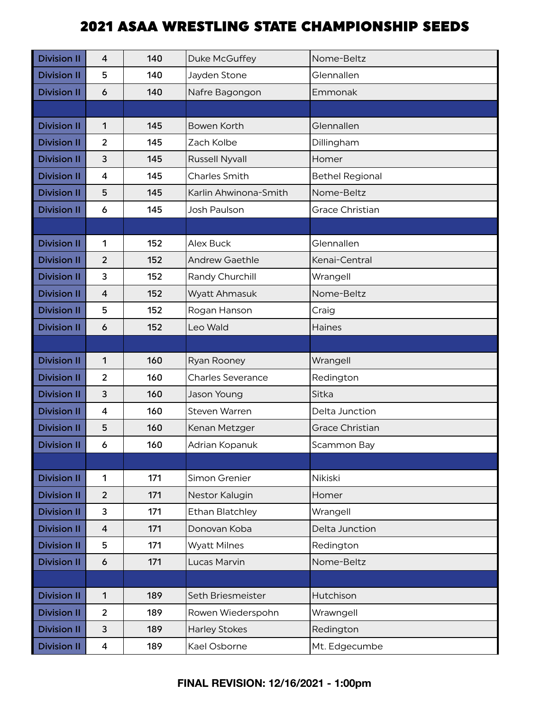| <b>Division II</b> | $\overline{4}$ | 140 | Duke McGuffey            | Nome-Beltz             |
|--------------------|----------------|-----|--------------------------|------------------------|
| <b>Division II</b> | 5              | 140 | Jayden Stone             | Glennallen             |
| <b>Division II</b> | 6              | 140 | Nafre Bagongon           | Emmonak                |
|                    |                |     |                          |                        |
| <b>Division II</b> | 1              | 145 | <b>Bowen Korth</b>       | Glennallen             |
| <b>Division II</b> | $\overline{2}$ | 145 | Zach Kolbe               | Dillingham             |
| <b>Division II</b> | 3              | 145 | <b>Russell Nyvall</b>    | Homer                  |
| <b>Division II</b> | $\overline{4}$ | 145 | <b>Charles Smith</b>     | <b>Bethel Regional</b> |
| <b>Division II</b> | 5              | 145 | Karlin Ahwinona-Smith    | Nome-Beltz             |
| <b>Division II</b> | 6              | 145 | Josh Paulson             | Grace Christian        |
|                    |                |     |                          |                        |
| <b>Division II</b> | $\mathbf 1$    | 152 | <b>Alex Buck</b>         | Glennallen             |
| <b>Division II</b> | $\overline{2}$ | 152 | <b>Andrew Gaethle</b>    | Kenai-Central          |
| <b>Division II</b> | 3              | 152 | Randy Churchill          | Wrangell               |
| <b>Division II</b> | $\overline{4}$ | 152 | Wyatt Ahmasuk            | Nome-Beltz             |
| <b>Division II</b> | 5              | 152 | Rogan Hanson             | Craig                  |
| <b>Division II</b> | 6              | 152 | Leo Wald                 | Haines                 |
|                    |                |     |                          |                        |
|                    |                |     |                          |                        |
| <b>Division II</b> | 1              | 160 | Ryan Rooney              | Wrangell               |
| <b>Division II</b> | $\overline{2}$ | 160 | <b>Charles Severance</b> | Redington              |
| <b>Division II</b> | 3              | 160 | Jason Young              | Sitka                  |
| <b>Division II</b> | 4              | 160 | <b>Steven Warren</b>     | Delta Junction         |
| <b>Division II</b> | 5              | 160 | Kenan Metzger            | <b>Grace Christian</b> |
| <b>Division II</b> | 6              | 160 | Adrian Kopanuk           | Scammon Bay            |
|                    |                |     |                          |                        |
| <b>Division II</b> | $\mathbf 1$    | 171 | Simon Grenier            | Nikiski                |
| <b>Division II</b> | $\overline{2}$ | 171 | Nestor Kalugin           | Homer                  |
| <b>Division II</b> | 3              | 171 | <b>Ethan Blatchley</b>   | Wrangell               |
| <b>Division II</b> | $\overline{4}$ | 171 | Donovan Koba             | Delta Junction         |
| <b>Division II</b> | 5              | 171 | <b>Wyatt Milnes</b>      | Redington              |
| <b>Division II</b> | 6              | 171 | Lucas Marvin             | Nome-Beltz             |
|                    |                |     |                          |                        |
| <b>Division II</b> | $\mathbf{1}$   | 189 | Seth Briesmeister        | Hutchison              |
| <b>Division II</b> | $\overline{2}$ | 189 | Rowen Wiederspohn        | Wrawngell              |
| <b>Division II</b> | 3              | 189 | <b>Harley Stokes</b>     | Redington              |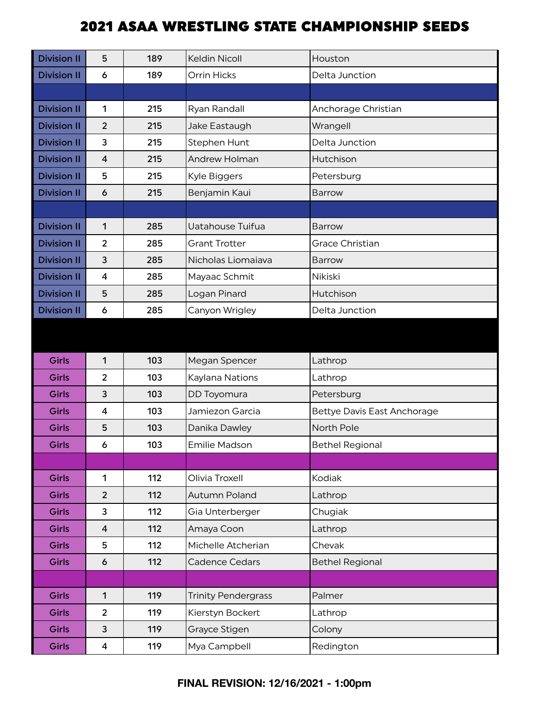| <b>Division II</b> | 5              | 189 | <b>Keldin Nicoll</b>       | Houston                            |
|--------------------|----------------|-----|----------------------------|------------------------------------|
| <b>Division II</b> | 6              | 189 | Orrin Hicks                | Delta Junction                     |
|                    |                |     |                            |                                    |
| <b>Division II</b> | $\mathbf 1$    | 215 | Ryan Randall               | Anchorage Christian                |
| <b>Division II</b> | $\overline{2}$ | 215 | Jake Eastaugh              | Wrangell                           |
| <b>Division II</b> | 3              | 215 | Stephen Hunt               | Delta Junction                     |
| <b>Division II</b> | $\overline{4}$ | 215 | Andrew Holman              | Hutchison                          |
| <b>Division II</b> | 5              | 215 | Kyle Biggers               | Petersburg                         |
| <b>Division II</b> | 6              | 215 | Benjamin Kaui              | <b>Barrow</b>                      |
|                    |                |     |                            |                                    |
| <b>Division II</b> | 1              | 285 | <b>Uatahouse Tuifua</b>    | <b>Barrow</b>                      |
| <b>Division II</b> | $\overline{2}$ | 285 | <b>Grant Trotter</b>       | Grace Christian                    |
| <b>Division II</b> | 3              | 285 | Nicholas Liomaiava         | Barrow                             |
| <b>Division II</b> | $\overline{4}$ | 285 | Mayaac Schmit              | Nikiski                            |
| <b>Division II</b> | 5              | 285 | Logan Pinard               | Hutchison                          |
| <b>Division II</b> | 6              | 285 | Canyon Wrigley             | Delta Junction                     |
|                    |                |     |                            |                                    |
|                    |                |     |                            |                                    |
| Girls              | 1              | 103 | Megan Spencer              | Lathrop                            |
| <b>Girls</b>       | $\overline{2}$ | 103 | Kaylana Nations            | Lathrop                            |
| Girls              | 3              | 103 | DD Toyomura                | Petersburg                         |
| Girls              | 4              | 103 | Jamiezon Garcia            | <b>Bettye Davis East Anchorage</b> |
| Girls              | 5              | 103 | Danika Dawley              |                                    |
| <b>Girls</b>       | 6              |     |                            | North Pole                         |
|                    |                | 103 | <b>Emilie Madson</b>       | <b>Bethel Regional</b>             |
|                    |                |     |                            |                                    |
| Girls              | $\mathbf 1$    | 112 | Olivia Troxell             | Kodiak                             |
| Girls              | $\overline{2}$ | 112 | Autumn Poland              | Lathrop                            |
| <b>Girls</b>       | 3              | 112 | Gia Unterberger            | Chugiak                            |
| Girls              | $\overline{4}$ | 112 | Amaya Coon                 | Lathrop                            |
| <b>Girls</b>       | 5              | 112 | Michelle Atcherian         | Chevak                             |
| Girls              | 6              | 112 | <b>Cadence Cedars</b>      | <b>Bethel Regional</b>             |
|                    |                |     |                            |                                    |
| Girls              | $\mathbf 1$    | 119 | <b>Trinity Pendergrass</b> | Palmer                             |
| Girls              | $\overline{2}$ | 119 | Kierstyn Bockert           | Lathrop                            |
| Girls              | 3              | 119 | Grayce Stigen              | Colony                             |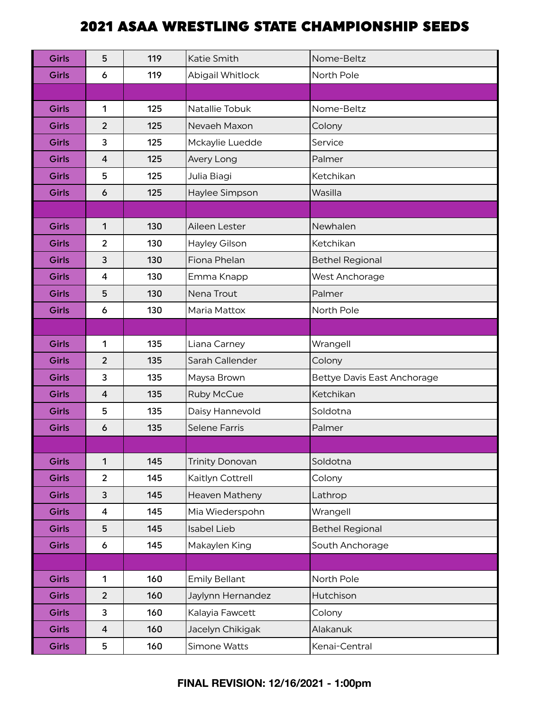| <b>Girls</b> | 5              | 119 | Katie Smith          | Nome-Beltz                         |
|--------------|----------------|-----|----------------------|------------------------------------|
| Girls        | 6              | 119 | Abigail Whitlock     | North Pole                         |
|              |                |     |                      |                                    |
| Girls        | 1              | 125 | Natallie Tobuk       | Nome-Beltz                         |
| <b>Girls</b> | $\overline{2}$ | 125 | Nevaeh Maxon         | Colony                             |
| <b>Girls</b> | 3              | 125 | Mckaylie Luedde      | Service                            |
| <b>Girls</b> | $\overline{4}$ | 125 | Avery Long           | Palmer                             |
| <b>Girls</b> | 5              | 125 | Julia Biagi          | Ketchikan                          |
| Girls        | 6              | 125 | Haylee Simpson       | Wasilla                            |
|              |                |     |                      |                                    |
| <b>Girls</b> | 1              | 130 | Aileen Lester        | Newhalen                           |
| <b>Girls</b> | $\overline{2}$ | 130 | <b>Hayley Gilson</b> | Ketchikan                          |
| <b>Girls</b> | 3              | 130 | Fiona Phelan         | <b>Bethel Regional</b>             |
| <b>Girls</b> | $\overline{4}$ | 130 | Emma Knapp           | West Anchorage                     |
| <b>Girls</b> | 5              | 130 | Nena Trout           | Palmer                             |
| Girls        | 6              | 130 | Maria Mattox         | North Pole                         |
|              |                |     |                      |                                    |
| <b>Girls</b> | 1              | 135 | Liana Carney         | Wrangell                           |
| <b>Girls</b> | $\overline{2}$ | 135 | Sarah Callender      | Colony                             |
| <b>Girls</b> | 3              | 135 | Maysa Brown          | <b>Bettye Davis East Anchorage</b> |
| <b>Girls</b> | 4              | 135 | <b>Ruby McCue</b>    | Ketchikan                          |
| <b>Girls</b> | 5              | 135 | Daisy Hannevold      | Soldotna                           |
| Girls        | 6              | 135 | Selene Farris        | Palmer                             |
|              |                |     |                      |                                    |
| Girls        | $\mathbf{1}$   | 145 | Trinity Donovan      | Soldotna                           |
| <b>Girls</b> | $\overline{2}$ | 145 | Kaitlyn Cottrell     | Colony                             |
| Girls        | 3              | 145 | Heaven Matheny       | Lathrop                            |
| Girls        | 4              | 145 | Mia Wiederspohn      | Wrangell                           |
| Girls        | 5              | 145 | <b>Isabel Lieb</b>   | <b>Bethel Regional</b>             |
| Girls        | 6              | 145 | Makaylen King        | South Anchorage                    |
|              |                |     |                      |                                    |
| Girls        | 1              | 160 | <b>Emily Bellant</b> | North Pole                         |
| Girls        | $\overline{2}$ | 160 | Jaylynn Hernandez    | Hutchison                          |
| Girls        | 3              | 160 | Kalayia Fawcett      | Colony                             |
| Girls        | $\overline{4}$ | 160 | Jacelyn Chikigak     | Alakanuk                           |
| Girls        | 5              | 160 | Simone Watts         | Kenai-Central                      |